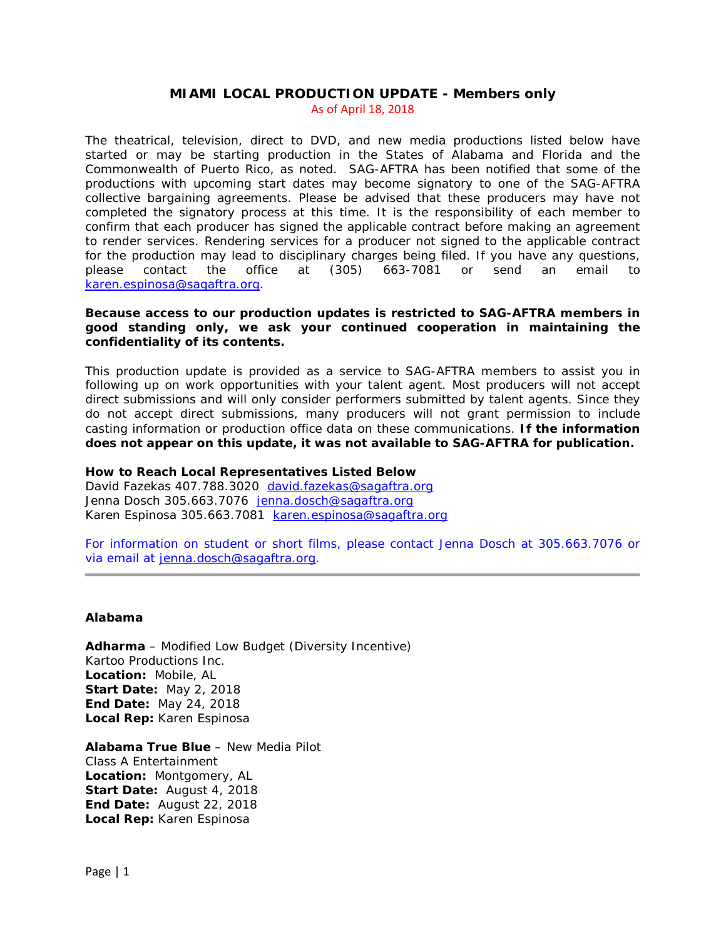# **MIAMI LOCAL PRODUCTION UPDATE - Members only** As of April 18, 2018

The theatrical, television, direct to DVD, and new media productions listed below have started or may be starting production in the States of Alabama and Florida and the Commonwealth of Puerto Rico, as noted. SAG-AFTRA has been notified that some of the productions with upcoming start dates may become signatory to one of the SAG-AFTRA collective bargaining agreements. Please be advised that these producers may have not completed the signatory process at this time. It is the responsibility of each member to confirm that each producer has signed the applicable contract before making an agreement to render services. Rendering services for a producer not signed to the applicable contract for the production may lead to disciplinary charges being filed. If you have any questions, please contact the office at (305) 663-7081 or send an email to [karen.espinosa@sagaftra.org.](mailto:karen.espinosa@sagaftra.org)

# **Because access to our production updates is restricted to SAG-AFTRA members in good standing only, we ask your continued cooperation in maintaining the confidentiality of its contents.**

This production update is provided as a service to SAG-AFTRA members to assist you in following up on work opportunities with your talent agent. Most producers will not accept direct submissions and will only consider performers submitted by talent agents. Since they do not accept direct submissions, many producers will not grant permission to include casting information or production office data on these communications. **If the information does not appear on this update, it was not available to SAG-AFTRA for publication.**

# **How to Reach Local Representatives Listed Below**

David Fazekas 407.788.3020 [david.fazekas@sagaftra.org](mailto:david.fazekas@sagaftra.org) Jenna Dosch 305.663.7076 [jenna.dosch@sagaftra.org](mailto:jenna.dosch@sagaftra.org) Karen Espinosa 305.663.7081 [karen.espinosa@sagaftra.org](mailto:karen.espinosa@sagaftra.org)

For information on student or short films, please contact Jenna Dosch at 305.663.7076 or via email at [jenna.dosch@sagaftra.org.](mailto:jenna.dosch@sagaftra.org)

# **Alabama**

*Adharma* – Modified Low Budget (Diversity Incentive) Kartoo Productions Inc. **Location:** Mobile, AL **Start Date:** May 2, 2018 **End Date:** May 24, 2018 **Local Rep:** Karen Espinosa

*Alabama True Blue* – New Media Pilot Class A Entertainment **Location:** Montgomery, AL **Start Date:** August 4, 2018 **End Date:** August 22, 2018 **Local Rep:** Karen Espinosa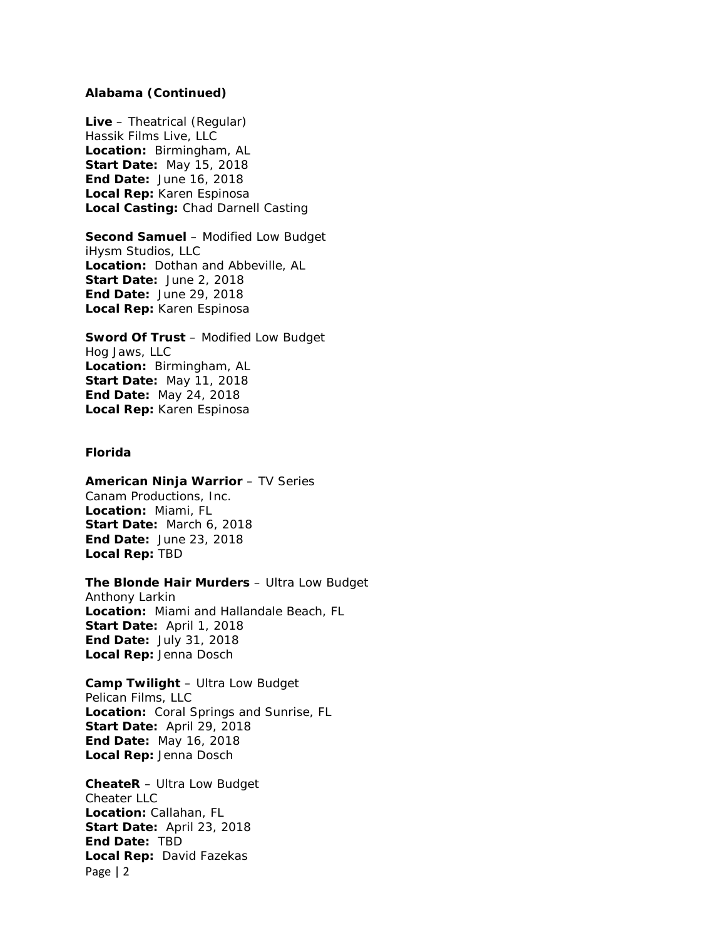### **Alabama (Continued)**

*Live* – Theatrical (Regular) Hassik Films Live, LLC **Location:** Birmingham, AL **Start Date:** May 15, 2018 **End Date:** June 16, 2018 **Local Rep:** Karen Espinosa **Local Casting:** Chad Darnell Casting

*Second Samuel* – Modified Low Budget iHysm Studios, LLC **Location:** Dothan and Abbeville, AL **Start Date:** June 2, 2018 **End Date:** June 29, 2018 **Local Rep:** Karen Espinosa

*Sword Of Trust* – Modified Low Budget Hog Jaws, LLC **Location:** Birmingham, AL **Start Date:** May 11, 2018 **End Date:** May 24, 2018 **Local Rep:** Karen Espinosa

# **Florida**

*American Ninja Warrior* – TV Series Canam Productions, Inc. **Location:** Miami, FL **Start Date:** March 6, 2018 **End Date:** June 23, 2018 **Local Rep:** TBD

### *The Blonde Hair Murders* – Ultra Low Budget

Anthony Larkin **Location:** Miami and Hallandale Beach, FL **Start Date:** April 1, 2018 **End Date:** July 31, 2018 **Local Rep:** Jenna Dosch

*Camp Twilight* – Ultra Low Budget Pelican Films, LLC **Location:** Coral Springs and Sunrise, FL **Start Date:** April 29, 2018 **End Date:** May 16, 2018 **Local Rep:** Jenna Dosch

Page | 2 *CheateR* – Ultra Low Budget Cheater LLC **Location:** Callahan, FL **Start Date:** April 23, 2018 **End Date:** TBD **Local Rep:** David Fazekas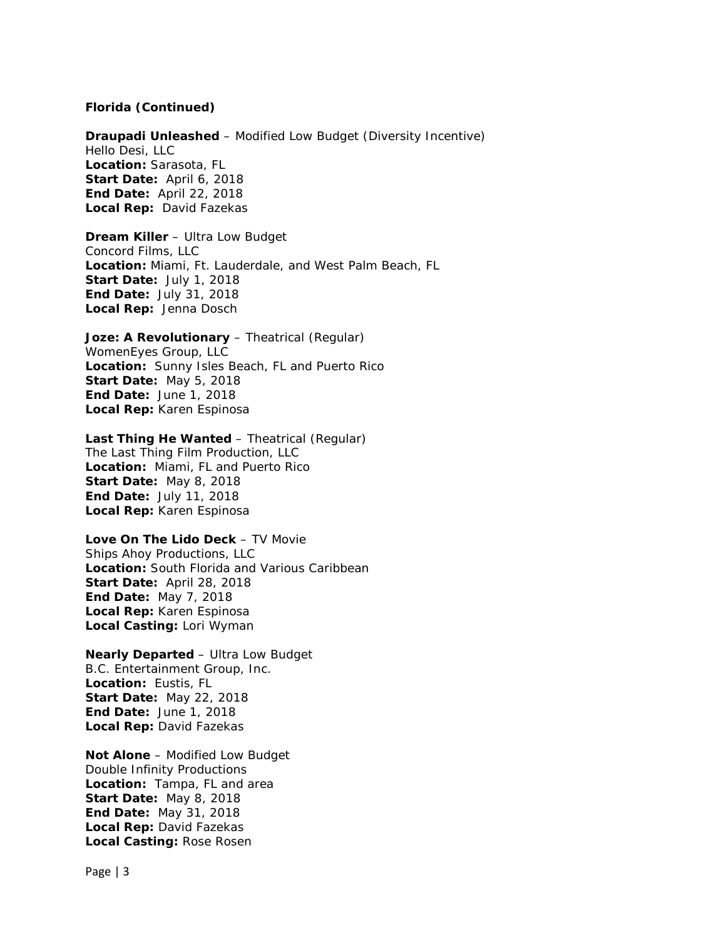#### **Florida (Continued)**

*Draupadi Unleashed* – Modified Low Budget (Diversity Incentive) Hello Desi, LLC **Location:** Sarasota, FL **Start Date:** April 6, 2018 **End Date:** April 22, 2018 **Local Rep:** David Fazekas

*Dream Killer* – Ultra Low Budget Concord Films, LLC **Location:** Miami, Ft. Lauderdale, and West Palm Beach, FL **Start Date:** July 1, 2018 **End Date:** July 31, 2018 **Local Rep:** Jenna Dosch

*Joze: A Revolutionary* – Theatrical (Regular) WomenEyes Group, LLC **Location:** Sunny Isles Beach, FL and Puerto Rico **Start Date:** May 5, 2018 **End Date:** June 1, 2018 **Local Rep:** Karen Espinosa

#### *Last Thing He Wanted* – Theatrical (Regular)

The Last Thing Film Production, LLC **Location:** Miami, FL and Puerto Rico **Start Date:** May 8, 2018 **End Date:** July 11, 2018 **Local Rep:** Karen Espinosa

#### *Love On The Lido Deck* – TV Movie

Ships Ahoy Productions, LLC **Location:** South Florida and Various Caribbean **Start Date:** April 28, 2018 **End Date:** May 7, 2018 **Local Rep:** Karen Espinosa **Local Casting:** Lori Wyman

*Nearly Departed* – Ultra Low Budget B.C. Entertainment Group, Inc. **Location:** Eustis, FL **Start Date:** May 22, 2018 **End Date:** June 1, 2018 **Local Rep:** David Fazekas

*Not Alone* – Modified Low Budget Double Infinity Productions **Location:** Tampa, FL and area **Start Date:** May 8, 2018 **End Date:** May 31, 2018 **Local Rep:** David Fazekas **Local Casting:** Rose Rosen

Page | 3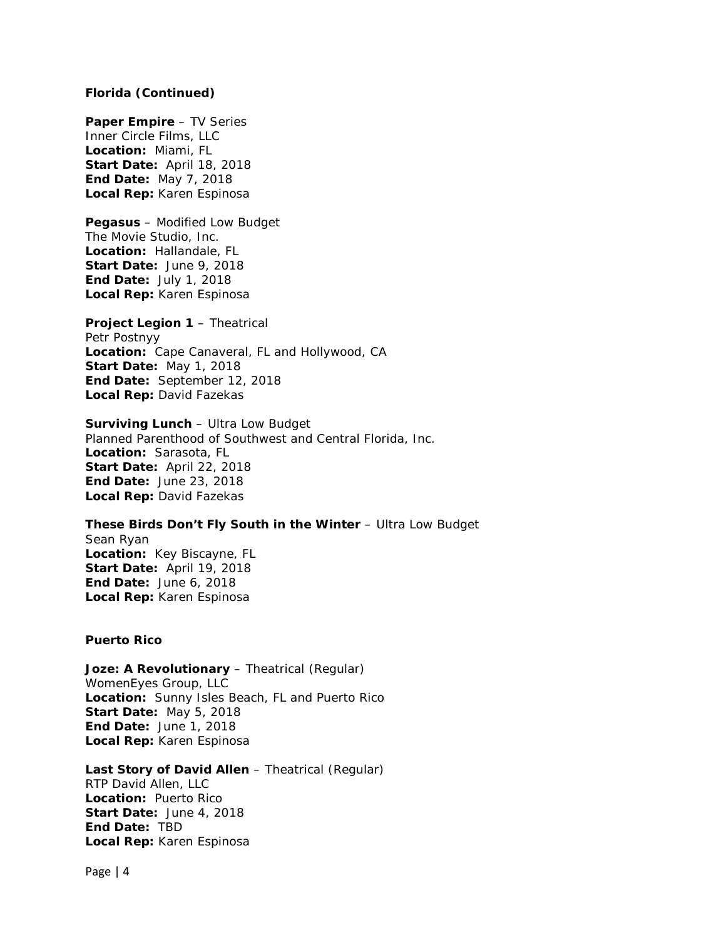### **Florida (Continued)**

*Paper Empire* – TV Series Inner Circle Films, LLC **Location:** Miami, FL **Start Date:** April 18, 2018 **End Date:** May 7, 2018 **Local Rep:** Karen Espinosa

*Pegasus* – Modified Low Budget The Movie Studio, Inc. **Location:** Hallandale, FL **Start Date:** June 9, 2018 **End Date:** July 1, 2018 **Local Rep:** Karen Espinosa

*Project Legion 1* – Theatrical Petr Postnyy **Location:** Cape Canaveral, FL and Hollywood, CA **Start Date:** May 1, 2018 **End Date:** September 12, 2018 **Local Rep:** David Fazekas

*Surviving Lunch* – Ultra Low Budget Planned Parenthood of Southwest and Central Florida, Inc. **Location:** Sarasota, FL **Start Date:** April 22, 2018 **End Date:** June 23, 2018 **Local Rep:** David Fazekas

**These Birds Don't Fly South in the Winter - Ultra Low Budget** Sean Ryan **Location:** Key Biscayne, FL **Start Date:** April 19, 2018 **End Date:** June 6, 2018 **Local Rep:** Karen Espinosa

### **Puerto Rico**

*Joze: A Revolutionary* – Theatrical (Regular) WomenEyes Group, LLC **Location:** Sunny Isles Beach, FL and Puerto Rico **Start Date:** May 5, 2018 **End Date:** June 1, 2018 **Local Rep:** Karen Espinosa

*Last Story of David Allen* – Theatrical (Regular) RTP David Allen, LLC **Location:** Puerto Rico **Start Date:** June 4, 2018 **End Date:** TBD **Local Rep:** Karen Espinosa

Page | 4